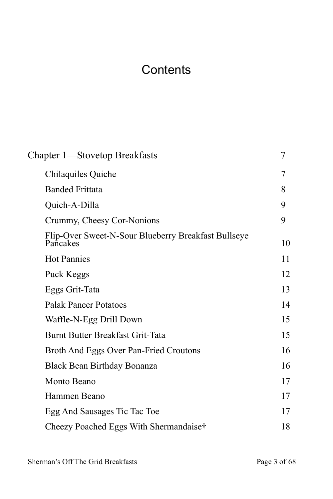## <span id="page-0-51"></span><span id="page-0-50"></span><span id="page-0-49"></span><span id="page-0-47"></span><span id="page-0-41"></span><span id="page-0-38"></span><span id="page-0-37"></span><span id="page-0-33"></span><span id="page-0-28"></span><span id="page-0-27"></span><span id="page-0-26"></span><span id="page-0-25"></span><span id="page-0-24"></span><span id="page-0-21"></span><span id="page-0-0"></span>**Contents**

<span id="page-0-48"></span><span id="page-0-46"></span><span id="page-0-45"></span><span id="page-0-44"></span><span id="page-0-43"></span><span id="page-0-42"></span><span id="page-0-40"></span><span id="page-0-39"></span><span id="page-0-36"></span><span id="page-0-35"></span><span id="page-0-34"></span><span id="page-0-32"></span><span id="page-0-31"></span><span id="page-0-30"></span><span id="page-0-29"></span><span id="page-0-23"></span><span id="page-0-22"></span><span id="page-0-20"></span><span id="page-0-19"></span><span id="page-0-18"></span><span id="page-0-17"></span><span id="page-0-16"></span><span id="page-0-15"></span><span id="page-0-14"></span><span id="page-0-13"></span><span id="page-0-12"></span><span id="page-0-11"></span><span id="page-0-10"></span><span id="page-0-9"></span><span id="page-0-8"></span><span id="page-0-7"></span><span id="page-0-6"></span><span id="page-0-5"></span><span id="page-0-4"></span><span id="page-0-3"></span><span id="page-0-2"></span><span id="page-0-1"></span>

| Chapter 1—Stovetop Breakfasts                                   | 7  |
|-----------------------------------------------------------------|----|
| Chilaquiles Quiche                                              | 7  |
| <b>Banded Frittata</b>                                          | 8  |
| Quich-A-Dilla                                                   | 9  |
| Crummy, Cheesy Cor-Nonions                                      | 9  |
| Flip-Over Sweet-N-Sour Blueberry Breakfast Bullseye<br>Pancakes | 10 |
| <b>Hot Pannies</b>                                              | 11 |
| Puck Keggs                                                      | 12 |
| Eggs Grit-Tata                                                  | 13 |
| <b>Palak Paneer Potatoes</b>                                    | 14 |
| Waffle-N-Egg Drill Down                                         | 15 |
| Burnt Butter Breakfast Grit-Tata                                | 15 |
| Broth And Eggs Over Pan-Fried Croutons                          | 16 |
| Black Bean Birthday Bonanza                                     | 16 |
| Monto Beano                                                     | 17 |
| Hammen Beano                                                    | 17 |
| Egg And Sausages Tic Tac Toe                                    | 17 |
| Cheezy Poached Eggs With Shermandaise†                          | 18 |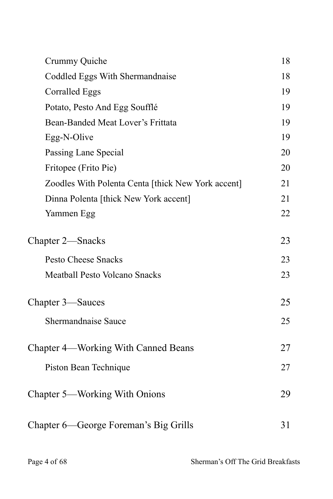| Crummy Quiche                                      | 18 |
|----------------------------------------------------|----|
| Coddled Eggs With Shermandnaise                    | 18 |
| <b>Corralled Eggs</b>                              | 19 |
| Potato, Pesto And Egg Soufflé                      | 19 |
| Bean-Banded Meat Lover's Frittata                  | 19 |
| Egg-N-Olive                                        | 19 |
| Passing Lane Special                               | 20 |
| Fritopee (Frito Pie)                               | 20 |
| Zoodles With Polenta Centa [thick New York accent] | 21 |
| Dinna Polenta [thick New York accent]              | 21 |
| Yammen Egg                                         | 22 |
| Chapter 2—Snacks                                   |    |
| <b>Pesto Cheese Snacks</b>                         | 23 |
| <b>Meatball Pesto Volcano Snacks</b>               | 23 |
| Chapter 3—Sauces                                   |    |
| Shermandnaise Sauce                                | 25 |
| Chapter 4—Working With Canned Beans                |    |
| Piston Bean Technique                              | 27 |
| Chapter 5—Working With Onions                      | 29 |
| Chapter 6—George Foreman's Big Grills              | 31 |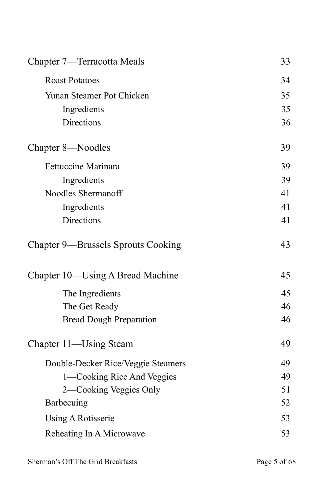| Chapter 7—Terracotta Meals         | 33 |
|------------------------------------|----|
| <b>Roast Potatoes</b>              | 34 |
| Yunan Steamer Pot Chicken          | 35 |
| Ingredients                        | 35 |
| Directions                         | 36 |
| Chapter 8—Noodles                  | 39 |
| <b>Fettuccine Marinara</b>         | 39 |
| Ingredients                        | 39 |
| Noodles Shermanoff                 | 41 |
| Ingredients                        | 41 |
| Directions                         | 41 |
| Chapter 9—Brussels Sprouts Cooking | 43 |
| Chapter 10—Using A Bread Machine   | 45 |
| The Ingredients                    | 45 |
| The Get Ready                      | 46 |
| <b>Bread Dough Preparation</b>     | 46 |
| Chapter 11—Using Steam             | 49 |
| Double-Decker Rice/Veggie Steamers | 49 |
| 1—Cooking Rice And Veggies         | 49 |
| 2—Cooking Veggies Only             | 51 |
| Barbecuing                         | 52 |
| Using A Rotisserie                 | 53 |
| Reheating In A Microwave           | 53 |